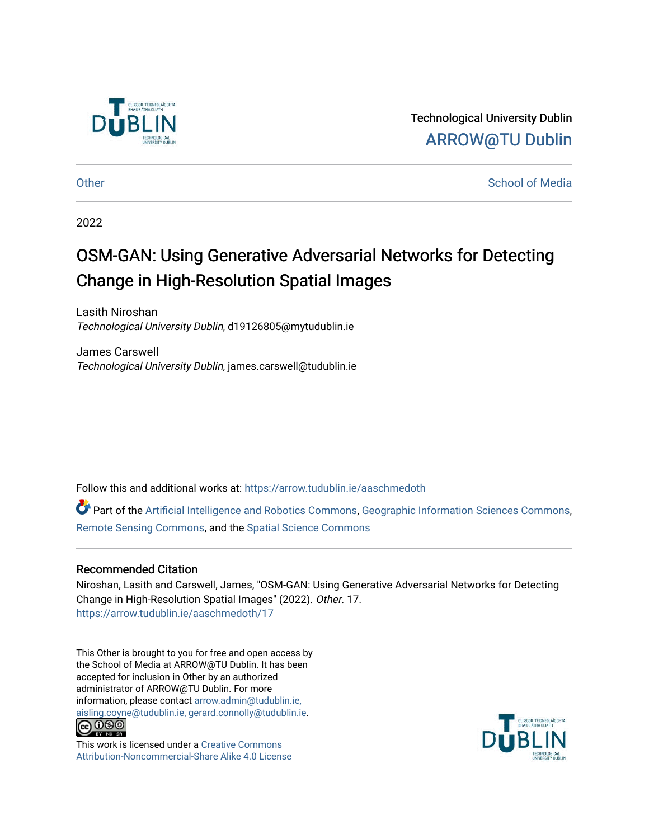

Technological University Dublin [ARROW@TU Dublin](https://arrow.tudublin.ie/) 

[Other](https://arrow.tudublin.ie/aaschmedoth) Changes and Changes and Changes and Changes and Changes and Changes and Changes and Changes and Changes and Changes and Changes and Changes and Changes and Changes and Changes and Changes and Changes and Changes and

2022

## OSM-GAN: Using Generative Adversarial Networks for Detecting Change in High-Resolution Spatial Images

Lasith Niroshan Technological University Dublin, d19126805@mytudublin.ie

James Carswell Technological University Dublin, james.carswell@tudublin.ie

Follow this and additional works at: [https://arrow.tudublin.ie/aaschmedoth](https://arrow.tudublin.ie/aaschmedoth?utm_source=arrow.tudublin.ie%2Faaschmedoth%2F17&utm_medium=PDF&utm_campaign=PDFCoverPages) 

Part of the [Artificial Intelligence and Robotics Commons](https://network.bepress.com/hgg/discipline/143?utm_source=arrow.tudublin.ie%2Faaschmedoth%2F17&utm_medium=PDF&utm_campaign=PDFCoverPages), [Geographic Information Sciences Commons,](https://network.bepress.com/hgg/discipline/358?utm_source=arrow.tudublin.ie%2Faaschmedoth%2F17&utm_medium=PDF&utm_campaign=PDFCoverPages) [Remote Sensing Commons](https://network.bepress.com/hgg/discipline/1192?utm_source=arrow.tudublin.ie%2Faaschmedoth%2F17&utm_medium=PDF&utm_campaign=PDFCoverPages), and the [Spatial Science Commons](https://network.bepress.com/hgg/discipline/1334?utm_source=arrow.tudublin.ie%2Faaschmedoth%2F17&utm_medium=PDF&utm_campaign=PDFCoverPages) 

## Recommended Citation

Niroshan, Lasith and Carswell, James, "OSM-GAN: Using Generative Adversarial Networks for Detecting Change in High-Resolution Spatial Images" (2022). Other. 17. [https://arrow.tudublin.ie/aaschmedoth/17](https://arrow.tudublin.ie/aaschmedoth/17?utm_source=arrow.tudublin.ie%2Faaschmedoth%2F17&utm_medium=PDF&utm_campaign=PDFCoverPages)

This Other is brought to you for free and open access by the School of Media at ARROW@TU Dublin. It has been accepted for inclusion in Other by an authorized administrator of ARROW@TU Dublin. For more information, please contact [arrow.admin@tudublin.ie,](mailto:arrow.admin@tudublin.ie,%20aisling.coyne@tudublin.ie,%20gerard.connolly@tudublin.ie)  [aisling.coyne@tudublin.ie, gerard.connolly@tudublin.ie](mailto:arrow.admin@tudublin.ie,%20aisling.coyne@tudublin.ie,%20gerard.connolly@tudublin.ie).



This work is licensed under a [Creative Commons](http://creativecommons.org/licenses/by-nc-sa/4.0/) [Attribution-Noncommercial-Share Alike 4.0 License](http://creativecommons.org/licenses/by-nc-sa/4.0/)